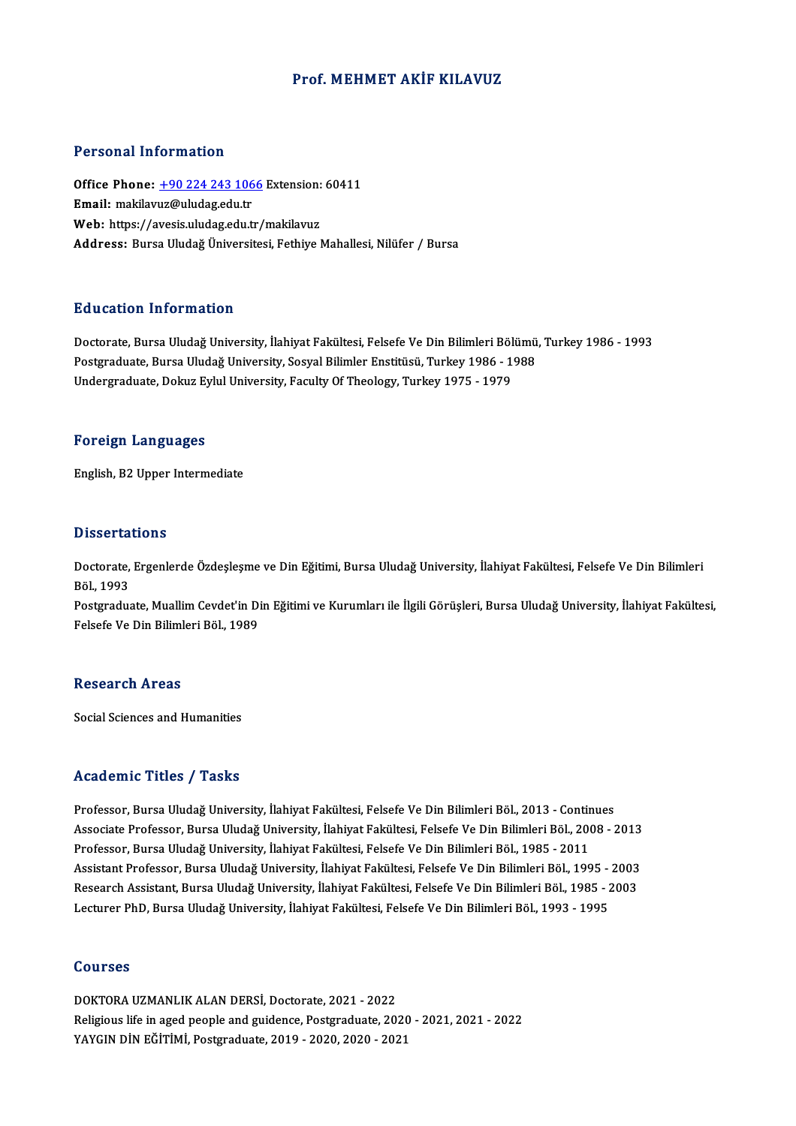## Prof.MEHMET AKİF KILAVUZ

## Personal Information

Personal Information<br>Office Phone: <u>+90 224 243 1066</u> Extension: 60411<br>Email: makilarur@uludes.edu.tr 1 ST SOMAT THEST MARTS IN<br>Office Phone: <u>+90 224 243 106</u><br>Email: makilav[uz@uludag.edu.tr](tel:+90 224 243 1066) Office Phone: <u>+90 224 243 1066</u> Extension:<br>Email: makilavuz@uludag.edu.tr<br>Web: https://avesis.uludag.edu.tr/makilavuz<br>Address. Purse Uludağ Üniversitesi Fethive I Email: makilavuz@uludag.edu.tr<br>Web: https://avesis.uludag.edu.tr/makilavuz<br>Address: Bursa Uludağ Üniversitesi, Fethive Mahallesi, Nilüfer / Bursa

## Education Information

Education Information<br>Doctorate, Bursa Uludağ University, İlahiyat Fakültesi, Felsefe Ve Din Bilimleri Bölümü, Turkey 1986 - 1993<br>Postsraduata Bursa Uludağ University, Sosyal Bilimler Enstitüsü, Turkey 1986 - 1999 Pu u sutrom minominution<br>Doctorate, Bursa Uludağ University, İlahiyat Fakültesi, Felsefe Ve Din Bilimleri Bölümü<br>Postgraduate, Bursa Uludağ University, Sosyal Bilimler Enstitüsü, Turkey 1986 - 1988<br>Undergraduate, Dolauz Ev Doctorate, Bursa Uludağ University, İlahiyat Fakültesi, Felsefe Ve Din Bilimleri Böl<br>Postgraduate, Bursa Uludağ University, Sosyal Bilimler Enstitüsü, Turkey 1986 - 1<br>Undergraduate, Dokuz Eylul University, Faculty Of Theol Undergraduate, Dokuz Eylul University, Faculty Of Theology, Turkey 1975 - 1979<br>Foreign Languages

English,B2Upper Intermediate

### **Dissertations**

Dissertations<br>Doctorate, Ergenlerde Özdeşleşme ve Din Eğitimi, Bursa Uludağ University, İlahiyat Fakültesi, Felsefe Ve Din Bilimleri<br>Röl 1993 Bölssor da<br>Doctorate,<br>Böl., 1993 Doctorate, Ergenlerde Özdeşleşme ve Din Eğitimi, Bursa Uludağ University, İlahiyat Fakültesi, Felsefe Ve Din Bilimleri<br>Böl., 1993<br>Postgraduate, Muallim Cevdet'in Din Eğitimi ve Kurumları ile İlgili Görüşleri, Bursa Uludağ

Böl., 1993<br>Postgraduate, Muallim Cevdet'in Di<br>Felsefe Ve Din Bilimleri Böl., 1989 Felsefe Ve Din Bilimleri Böl., 1989<br>Research Areas

Social Sciences and Humanities

## Academic Titles / Tasks

Academic Titles / Tasks<br>Professor, Bursa Uludağ University, İlahiyat Fakültesi, Felsefe Ve Din Bilimleri Böl., 2013 - Continues<br>Assesiate Brefessor, Bursa Uludağ University, İlahiyat Fakültesi, Felsefe Ve Din Bilimleri Böl Associate Professor, Bursa Uludağ University, İlahiyat Fakültesi, Felsefe Ve Din Bilimleri Böl., 2008 - 2013<br>Professor, Bursa Uludağ University, İlahiyat Fakültesi, Felsefe Ve Din Bilimleri Böl., 1985 - 2011 Professor, Bursa Uludağ University, İlahiyat Fakültesi, Felsefe Ve Din Bilimleri Böl., 2013 - Contin<br>Associate Professor, Bursa Uludağ University, İlahiyat Fakültesi, Felsefe Ve Din Bilimleri Böl., 200<br>Professor, Bursa Ulu Associate Professor, Bursa Uludağ University, İlahiyat Fakültesi, Felsefe Ve Din Bilimleri Böl., 2008 - 2013<br>Professor, Bursa Uludağ University, İlahiyat Fakültesi, Felsefe Ve Din Bilimleri Böl., 1985 - 2011<br>Assistant Prof Professor, Bursa Uludağ University, İlahiyat Fakültesi, Felsefe Ve Din Bilimleri Böl., 1985 - 2011<br>Assistant Professor, Bursa Uludağ University, İlahiyat Fakültesi, Felsefe Ve Din Bilimleri Böl., 1995 - 2003<br>Research Assis Assistant Professor, Bursa Uludağ University, İlahiyat Fakültesi, Felsefe Ve Din Bilimleri Böl., 1995 -<br>Research Assistant, Bursa Uludağ University, İlahiyat Fakültesi, Felsefe Ve Din Bilimleri Böl., 1985 - 2<br>Lecturer PhD, Lecturer PhD, Bursa Uludağ University, İlahiyat Fakültesi, Felsefe Ve Din Bilimleri Böl., 1993 - 1995<br>Courses

Courses<br>DOKTORA UZMANLIK ALAN DERSİ, Doctorate, 2021 - 2022<br>Pelizious life in aged peaple and guidance, Bostanadusta, 20 Religious life in aged people and guidence, Postgraduate, 2020 - 2021, 2021 - 2022<br>YAYGIN DİN EĞİTİMİ, Postgraduate, 2019 - 2020, 2020 - 2021 DOKTORA UZMANLIK ALAN DERSİ, Doctorate, 2021 - 2022<br>Religious life in aged people and guidence, Postgraduate, 2020<br>YAYGIN DİN EĞİTİMİ, Postgraduate, 2019 - 2020, 2020 - 2021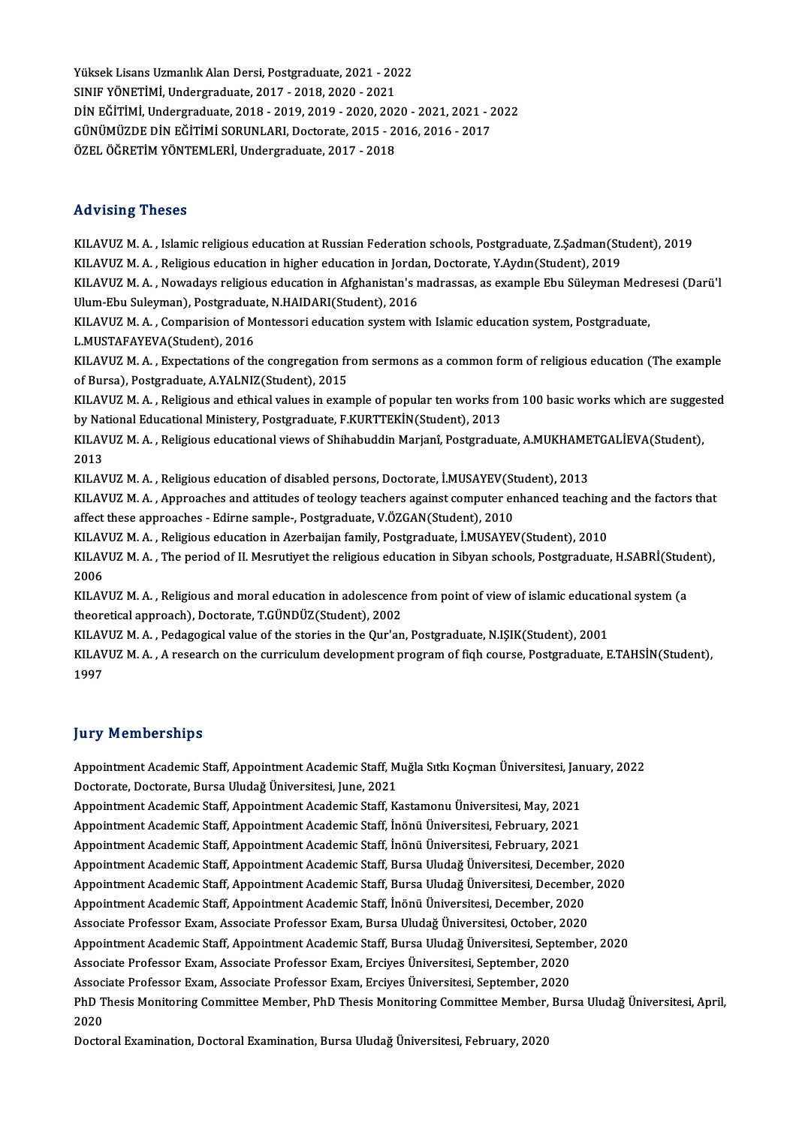Yüksek Lisans Uzmanlık Alan Dersi, Postgraduate, 2021 - 2022<br>SINUE VÖNETİMİ, Undergraduate, 2017 - 2019, 2020 - 2021 Süksek Lisans Uzmanlık Alan Dersi, Postgraduate, 2021 - 20<br>SINIF YÖNETİMİ, Undergraduate, 2017 - 2018, 2020 - 2021<br>DİN FĞİTİMİ, Undergraduate, 2018, 2019, 2019, 2020, 202 Yüksek Lisans Uzmanlık Alan Dersi, Postgraduate, 2021 - 2022<br>SINIF YÖNETİMİ, Undergraduate, 2017 - 2018, 2020 - 2021<br>DİN EĞİTİMİ, Undergraduate, 2018 - 2019, 2019 - 2020, 2020 - 2021, 2021 - 2022<br>CÜNÜMÜZPE DİN EĞİTİMİ SOPU SINIF YÖNETİMİ, Undergraduate, 2017 - 2018, 2020 - 2021<br>DİN EĞİTİMİ, Undergraduate, 2018 - 2019, 2019 - 2020, 2020 - 2021, 2021 - 2<br>GÜNÜMÜZDE DİN EĞİTİMİ SORUNLARI, Doctorate, 2015 - 2016, 2016 - 2017<br>ÖZEL ÖĞRETİM YÖNTEMI DİN EĞİTİMİ, Undergraduate, 2018 - 2019, 2019 - 2020, 202<br>GÜNÜMÜZDE DİN EĞİTİMİ SORUNLARI, Doctorate, 2015 - 2<br>ÖZEL ÖĞRETİM YÖNTEMLERİ, Undergraduate, 2017 - 2018 ÖZEL ÖĞRETİM YÖNTEMLERİ, Undergraduate, 2017 - 2018<br>Advising Theses

Advising Theses<br>KILAVUZ M. A. , Islamic religious education at Russian Federation schools, Postgraduate, Z.Şadman(Student), 2019<br>KU AVUZ M. A. , Boligious education in bigher education in Iordan, Doctorate, V.Aydın(Student KILAVUZ M. A. , Islamic religious education at Russian Federation schools, Postgraduate, Z.Şadman(Student), 2019<br>KILAVUZ M. A. , Religious education in higher education in Jordan, Doctorate, Y.Aydın(Student), 2019<br>KU AVUZ KILAVUZ M. A. , Islamic religious education at Russian Federation schools, Postgraduate, Z.Şadman(Student), 2019<br>KILAVUZ M. A. , Religious education in higher education in Jordan, Doctorate, Y.Aydın(Student), 2019<br>KILAVUZ KILAVUZ M. A. , Religious education in higher education in Jorda<br>KILAVUZ M. A. , Nowadays religious education in Afghanistan's n<br>Ulum-Ebu Suleyman), Postgraduate, N.HAIDARI(Student), 2016<br>KU AVUZ M. A. , Comparision of Mon KILAVUZ M. A. , Nowadays religious education in Afghanistan's madrassas, as example Ebu Süleyman Medr<br>Ulum-Ebu Suleyman), Postgraduate, N.HAIDARI(Student), 2016<br>KILAVUZ M. A. , Comparision of Montessori education system wi Ulum-Ebu Suleyman), Postgraduate, N.HAIDARI(Student), 2016<br>KILAVUZ M. A. , Comparision of Montessori education system with Islamic education system, Postgraduate,<br>L.MUSTAFAYEVA(Student), 2016 KILAVUZ M. A. , Comparision of Montessori education system with Islamic education system, Postgraduate,<br>L.MUSTAFAYEVA(Student), 2016<br>KILAVUZ M. A. , Expectations of the congregation from sermons as a common form of religio L.MUSTAFAYEVA(Student), 2016<br>KILAVUZ M. A. , Expectations of the congregation fr<br>of Bursa), Postgraduate, A.YALNIZ(Student), 2015<br>KU AVUZ M. A., Boligious and othical values in even KILAVUZ M. A. , Expectations of the congregation from sermons as a common form of religious education (The example<br>of Bursa), Postgraduate, A.YALNIZ(Student), 2015<br>KILAVUZ M. A. , Religious and ethical values in example of of Bursa), Postgraduate, A.YALNIZ(Student), 2015<br>KILAVUZ M. A. , Religious and ethical values in example of popular ten works fro<br>by National Educational Ministery, Postgraduate, F.KURTTEKİN(Student), 2013<br>KU AVUZ M. A., B KILAVUZ M. A. , Religious and ethical values in example of popular ten works from 100 basic works which are sugges<br>by National Educational Ministery, Postgraduate, F.KURTTEKİN(Student), 2013<br>KILAVUZ M. A. , Religious educa by Na<br>KILAV<br>2013<br>KU AV KILAVUZ M. A. , Religious educational views of Shihabuddin Marjanî, Postgraduate, A.MUKHAME<br>2013<br>KILAVUZ M. A. , Religious education of disabled persons, Doctorate, İ.MUSAYEV(Student), 2013<br>KU AVUZ M. A. , Approaches and a 2013<br>KILAVUZ M. A. , Religious education of disabled persons, Doctorate, İ.MUSAYEV(Student), 2013<br>KILAVUZ M. A. , Approaches and attitudes of teology teachers against computer enhanced teaching and the factors that<br>affect KILAVUZ M. A. , Religious education of disabled persons, Doctorate, İ.MUSAYEV(Student), 2013<br>KILAVUZ M. A. , Approaches and attitudes of teology teachers against computer enhanced teaching<br>affect these approaches - Edirne KILAVUZ M. A. , Approaches and attitudes of teology teachers against computer enhanced teaching<br>affect these approaches - Edirne sample-, Postgraduate, V.ÖZGAN(Student), 2010<br>KILAVUZ M. A. , Religious education in Azerbaij affect these approaches - Edirne sample-, Postgraduate, V.ÖZGAN(Student), 2010<br>KILAVUZ M. A. , Religious education in Azerbaijan family, Postgraduate, İ.MUSAYEV(Student), 2010<br>KILAVUZ M. A. , The period of II. Mesrutiyet t KILAV<br>KILAV<br>2006<br>KU AV KILAVUZ M. A. , The period of II. Mesrutiyet the religious education in Sibyan schools, Postgraduate, H.SABRİ(Stud<br>2006<br>KILAVUZ M. A. , Religious and moral education in adolescence from point of view of islamic educational 2006<br>KILAVUZ M. A. , Religious and moral education in adolescence from point of view of islamic educational system (a<br>theoretical approach), Doctorate, T.GÜNDÜZ(Student), 2002 KILAVUZ M. A. , Religious and moral education in adolescence from point of view of islamic education<br>theoretical approach), Doctorate, T.GÜNDÜZ(Student), 2002<br>KILAVUZ M. A. , Pedagogical value of the stories in the Qur'an, KILAVUZ M. A. , A research on the curriculum development program of fiqh course, Postgraduate, E.TAHSİN(Student),<br>1997 KILAV<br>KILAV<br>1997

## **Jury Memberships**

**Jury Memberships**<br>Appointment Academic Staff, Appointment Academic Staff, Muğla Sıtkı Koçman Üniversitesi, January, 2022<br>Pesterate Pesterate Bursa Uludeğ Üniversitesi June 2021 Jury Tremberdings<br>Appointment Academic Staff, Appointment Academic Staff, M<br>Doctorate, Doctorate, Bursa Uludağ Üniversitesi, June, 2021<br>Appointment Academic Staff, Appointment Academic Staff, K. Appointment Academic Staff, Appointment Academic Staff, Muğla Sıtkı Koçman Üniversitesi, Jan<br>Doctorate, Doctorate, Bursa Uludağ Üniversitesi, June, 2021<br>Appointment Academic Staff, Appointment Academic Staff, Kastamonu Üni Doctorate, Doctorate, Bursa Uludağ Üniversitesi, June, 2021<br>Appointment Academic Staff, Appointment Academic Staff, Kastamonu Üniversitesi, May, 2021<br>Appointment Academic Staff, Appointment Academic Staff, İnönü Üniversite Appointment Academic Staff, Appointment Academic Staff, Kastamonu Üniversitesi, May, 2021<br>Appointment Academic Staff, Appointment Academic Staff, İnönü Üniversitesi, February, 2021<br>Appointment Academic Staff, Appointment A Appointment Academic Staff, Appointment Academic Staff, İnönü Üniversitesi, February, 2021<br>Appointment Academic Staff, Appointment Academic Staff, Bursa Uludağ Üniversitesi, December, 2020 Appointment Academic Staff, Appointment Academic Staff, İnönü Üniversitesi, February, 2021<br>Appointment Academic Staff, Appointment Academic Staff, Bursa Uludağ Üniversitesi, December, 2020<br>Appointment Academic Staff, Appoi Appointment Academic Staff, Appointment Academic Staff, Bursa Uludağ Üniversitesi, December<br>Appointment Academic Staff, Appointment Academic Staff, Bursa Uludağ Üniversitesi, December<br>Appointment Academic Staff, Appointmen Appointment Academic Staff, Appointment Academic Staff, Bursa Uludağ Üniversitesi, December<br>Appointment Academic Staff, Appointment Academic Staff, İnönü Üniversitesi, December, 2020<br>Associate Professor Exam, Associate Pro Appointment Academic Staff, Appointment Academic Staff, İnönü Üniversitesi, December, 2020<br>Associate Professor Exam, Associate Professor Exam, Bursa Uludağ Üniversitesi, October, 2020<br>Appointment Academic Staff, Appointmen Associate Professor Exam, Associate Professor Exam, Bursa Uludağ Üniversitesi, October, 20<br>Appointment Academic Staff, Appointment Academic Staff, Bursa Uludağ Üniversitesi, Septem<br>Associate Professor Exam, Associate Profe Appointment Academic Staff, Appointment Academic Staff, Bursa Uludağ Üniversitesi, Septem<br>Associate Professor Exam, Associate Professor Exam, Erciyes Üniversitesi, September, 2020<br>Associate Professor Exam, Associate Profes Associate Professor Exam, Associate Professor Exam, Erciyes Üniversitesi, September, 2020<br>Associate Professor Exam, Associate Professor Exam, Erciyes Üniversitesi, September, 2020<br>PhD Thesis Monitoring Committee Member, Ph Assoc<br>PhD T<br>2020<br>Decte PhD Thesis Monitoring Committee Member, PhD Thesis Monitoring Committee Member,<br>2020<br>Doctoral Examination, Doctoral Examination, Bursa Uludağ Üniversitesi, February, 2020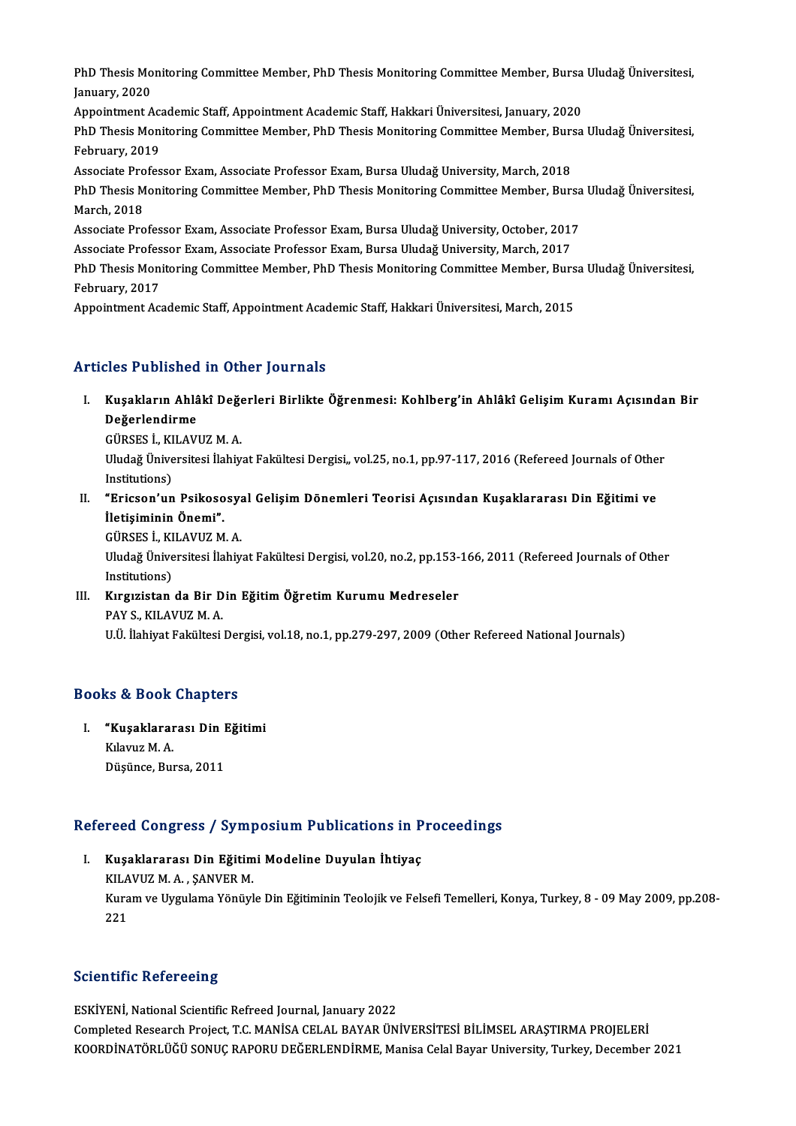PhD Thesis Monitoring Committee Member, PhD Thesis Monitoring Committee Member, Bursa Uludağ Üniversitesi,<br>January 2020 PhD Thesis Mo<br>January, 2020<br>Anneintment A PhD Thesis Monitoring Committee Member, PhD Thesis Monitoring Committee Member, Bursa<br>January, 2020<br>Appointment Academic Staff, Appointment Academic Staff, Hakkari Üniversitesi, January, 2020<br>PhD Thesis Monitoring Committe

January, 2020<br>Appointment Academic Staff, Appointment Academic Staff, Hakkari Üniversitesi, January, 2020<br>PhD Thesis Monitoring Committee Member, PhD Thesis Monitoring Committee Member, Bursa Uludağ Üniversitesi,<br>February, Appointment Aca<br>PhD Thesis Moni<br>February, 2019<br>Associate Profes PhD Thesis Monitoring Committee Member, PhD Thesis Monitoring Committee Member, Burs<br>February, 2019<br>Associate Professor Exam, Associate Professor Exam, Bursa Uludağ University, March, 2018<br>PhD Thesis Monitoring Committee M

February, 2019<br>Associate Professor Exam, Associate Professor Exam, Bursa Uludağ University, March, 2018<br>PhD Thesis Monitoring Committee Member, PhD Thesis Monitoring Committee Member, Bursa Uludağ Üniversitesi,<br>March, 2019 Associate Pro<br>PhD Thesis M<br>March, 2018<br>Associate Pro PhD Thesis Monitoring Committee Member, PhD Thesis Monitoring Committee Member, Bursa<br>March, 2018<br>Associate Professor Exam, Associate Professor Exam, Bursa Uludağ University, October, 2017<br>Associate Professor Exam, Associa March, 2018<br>Associate Professor Exam, Associate Professor Exam, Bursa Uludağ University, October, 2017<br>Associate Professor Exam, Associate Professor Exam, Bursa Uludağ University, March, 2017<br>PhD Thesis Monitoring Committe

Associate Professor Exam, Associate Professor Exam, Bursa Uludağ University, October, 2017<br>Associate Professor Exam, Associate Professor Exam, Bursa Uludağ University, March, 2017<br>PhD Thesis Monitoring Committee Member, Ph Associate Profes<br>PhD Thesis Moni<br>February, 2017<br>Annointmont Act PhD Thesis Monitoring Committee Member, PhD Thesis Monitoring Committee Member, Burs<br>February, 2017<br>Appointment Academic Staff, Appointment Academic Staff, Hakkari Üniversitesi, March, 2015

Appointment Academic Staff, Appointment Academic Staff, Hakkari Üniversitesi, March, 2015<br>Articles Published in Other Journals

rticles Published in Other Journals<br>I. Kuşakların Ahlâkî Değerleri Birlikte Öğrenmesi: Kohlberg'in Ahlâkî Gelişim Kuramı Açısından Bir<br>Reğarlandirme nes i asiloned<br>Kuşakların Ahlâ<br>Değerlendirme<br>Cüpersi Ku Av Kuşakların Ahlâkî Değe<br>Değerlendirme<br>GÜRSES İ., KILAVUZ M. A.<br>Uludağ Üniversitesi İlabiy

Değerlendirme<br>GÜRSES İ., KILAVUZ M. A.<br>Uludağ Üniversitesi İlahiyat Fakültesi Dergisi,, vol.25, no.1, pp.97-117, 2016 (Refereed Journals of Other<br>Institutions) GÜRSES İ., KILAVUZ M. A. Uludağ Üniversitesi İlahiyat Fakültesi Dergisi,, vol.25, no.1, pp.97-117, 2016 (Refereed Journals of Othe<br>Institutions)<br>II. "Ericson'un Psikososyal Gelişim Dönemleri Teorisi Açısından Kuşaklararası Din Eğitimi ve<br>İletisimi

Institutions)<br>"Ericson'un Psikoso<br>İletişiminin Önemi".<br>CÜPSES İ. KU AVUZ M **"Ericson'un Psikososy:<br>İletişiminin Önemi".**<br>GÜRSES İ., KILAVUZ M. A.<br>Uludağ Üniversitesi İlebiy

**İletişiminin Önemi".**<br>GÜRSES İ., KILAVUZ M. A.<br>Uludağ Üniversitesi İlahiyat Fakültesi Dergisi, vol.20, no.2, pp.153-166, 2011 (Refereed Journals of Other GÜRSES İ., KI<br>Uludağ Ünive<br>Institutions)<br>Kuravistan Uludağ Üniversitesi İlahiyat Fakültesi Dergisi, vol.20, no.2, pp.153-<br>Institutions)<br>III. Kırgızistan da Bir Din Eğitim Öğretim Kurumu Medreseler<br>PAV S. KILAVUZ M.A

Institutions)<br>III. Kırgızistan da Bir Din Eğitim Öğretim Kurumu Medreseler<br>PAY S., KILAVUZ M. A.

U.Ü. İlahiyat Fakültesi Dergisi, vol.18, no.1, pp.279-297, 2009 (Other Refereed National Journals)

## Books&Book Chapters

ooks & Book Chapters<br>I. "Kuşaklararası Din Eğitimi<br>Kılamız M.A kə & Book<br>"Kuşaklarar<br>Kılavuz M. A.<br>Düşünce Bul Kılavuz M. A.<br>Düşünce, Bursa, 2011

# Duşunce, Bursa, 2011<br>Refereed Congress / Symposium Publications in Proceedings

efereed Congress / Symposium Publications in P<br>I. Kuşaklararası Din Eğitimi Modeline Duyulan İhtiyaç I. Kuşaklararası Din Eğitimi Modeline Duyulan İhtiyaç<br>KILAVUZM.A., SANVERM. Kuşaklararası Din Eğitimi Modeline Duyulan İhtiyaç<br>KILAVUZ M. A. , ŞANVER M.<br>Kuram ve Uygulama Yönüyle Din Eğitiminin Teolojik ve Felsefi Temelleri, Konya, Turkey, 8 - 09 May 2009, pp.208-KILA<br>Kura<br>221

## 221<br>Scientific Refereeing

ESKİYENİ, National Scientific Refreed Journal, January 2022 Completed Research Project,<br>Completed Research Project, T.C. MANİSA CELAL BAYAR ÜNİVERSİTESİ BİLİMSEL ARAŞTIRMA PROJELERİ<br>KOQPDİNATÖRLÜĞÜ SONUC RAROPU DEĞERLENDİRME Marisa Calal Bayar University, Turkay, Desember ESKİYENİ, National Scientific Refreed Journal, January 2022<br>Completed Research Project, T.C. MANİSA CELAL BAYAR ÜNİVERSİTESİ BİLİMSEL ARAŞTIRMA PROJELERİ<br>KOORDİNATÖRLÜĞÜ SONUÇ RAPORU DEĞERLENDİRME, Manisa Celal Bayar Unive